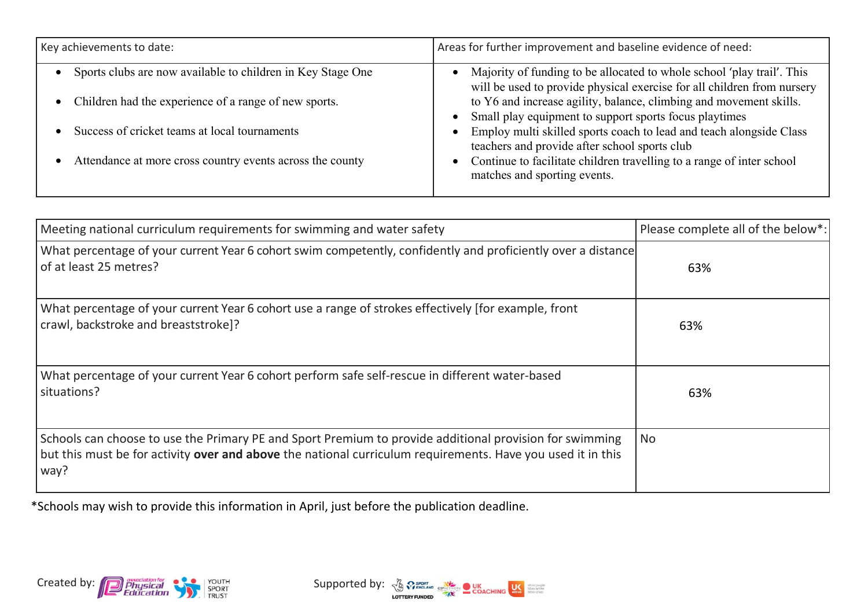| Key achievements to date:                                   | Areas for further improvement and baseline evidence of need:                                                                                      |  |
|-------------------------------------------------------------|---------------------------------------------------------------------------------------------------------------------------------------------------|--|
| Sports clubs are now available to children in Key Stage One | Majority of funding to be allocated to whole school 'play trail'. This<br>will be used to provide physical exercise for all children from nursery |  |
| Children had the experience of a range of new sports.       | to Y6 and increase agility, balance, climbing and movement skills.<br>Small play equipment to support sports focus playtimes<br>$\bullet$         |  |
| Success of cricket teams at local tournaments               | Employ multi skilled sports coach to lead and teach alongside Class<br>$\bullet$<br>teachers and provide after school sports club                 |  |
| Attendance at more cross country events across the county   | Continue to facilitate children travelling to a range of inter school<br>$\bullet$<br>matches and sporting events.                                |  |

| Meeting national curriculum requirements for swimming and water safety                                                                                                                                                         | Please complete all of the below*: |
|--------------------------------------------------------------------------------------------------------------------------------------------------------------------------------------------------------------------------------|------------------------------------|
| What percentage of your current Year 6 cohort swim competently, confidently and proficiently over a distance<br>of at least 25 metres?                                                                                         | 63%                                |
| What percentage of your current Year 6 cohort use a range of strokes effectively [for example, front<br>crawl, backstroke and breaststroke]?                                                                                   | 63%                                |
| What percentage of your current Year 6 cohort perform safe self-rescue in different water-based<br>situations?                                                                                                                 | 63%                                |
| Schools can choose to use the Primary PE and Sport Premium to provide additional provision for swimming<br>but this must be for activity over and above the national curriculum requirements. Have you used it in this<br>way? | No.                                |

\*Schools may wish to provide this information in April, just before the publication deadline.



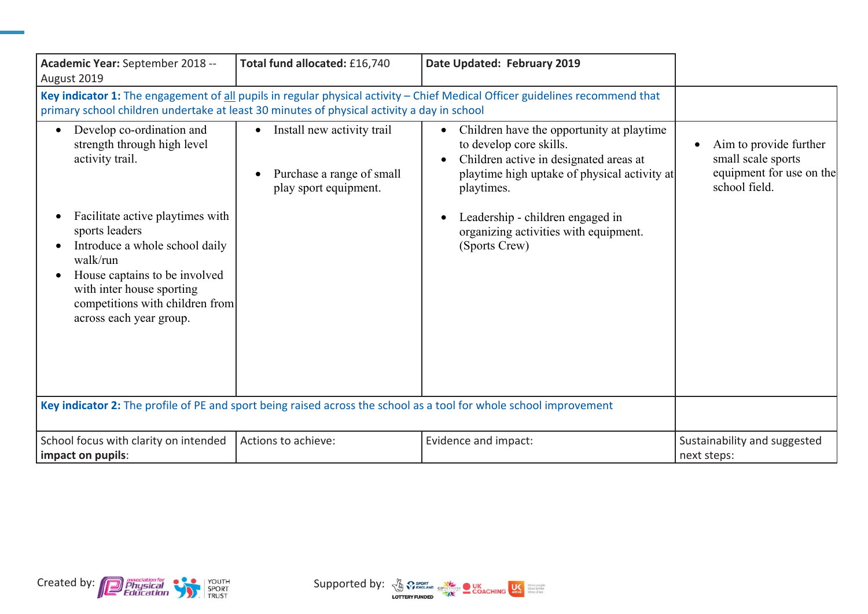| Academic Year: September 2018 --<br>August 2019                                                                                                                                                                                                                                                             | Total fund allocated: £16,740                                                                 | Date Updated: February 2019                                                                                                                                                                                                                                                |                                                                                           |
|-------------------------------------------------------------------------------------------------------------------------------------------------------------------------------------------------------------------------------------------------------------------------------------------------------------|-----------------------------------------------------------------------------------------------|----------------------------------------------------------------------------------------------------------------------------------------------------------------------------------------------------------------------------------------------------------------------------|-------------------------------------------------------------------------------------------|
| Key indicator 1: The engagement of all pupils in regular physical activity - Chief Medical Officer guidelines recommend that<br>primary school children undertake at least 30 minutes of physical activity a day in school                                                                                  |                                                                                               |                                                                                                                                                                                                                                                                            |                                                                                           |
| Develop co-ordination and<br>strength through high level<br>activity trail.<br>Facilitate active playtimes with<br>sports leaders<br>Introduce a whole school daily<br>walk/run<br>House captains to be involved<br>with inter house sporting<br>competitions with children from<br>across each year group. | Install new activity trail<br>Purchase a range of small<br>$\bullet$<br>play sport equipment. | Children have the opportunity at playtime<br>to develop core skills.<br>Children active in designated areas at<br>playtime high uptake of physical activity at<br>playtimes.<br>Leadership - children engaged in<br>organizing activities with equipment.<br>(Sports Crew) | Aim to provide further<br>small scale sports<br>equipment for use on the<br>school field. |
| Key indicator 2: The profile of PE and sport being raised across the school as a tool for whole school improvement                                                                                                                                                                                          |                                                                                               |                                                                                                                                                                                                                                                                            |                                                                                           |
| School focus with clarity on intended<br>impact on pupils:                                                                                                                                                                                                                                                  | Actions to achieve:                                                                           | Evidence and impact:                                                                                                                                                                                                                                                       | Sustainability and suggested<br>next steps:                                               |



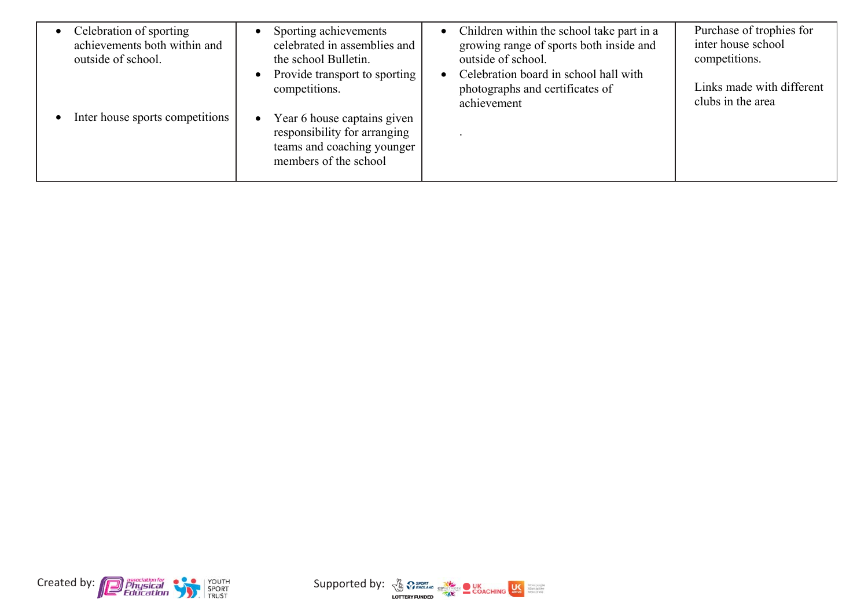| • Celebration of sporting<br>achievements both within and<br>outside of school. | Sporting achievements<br>celebrated in assemblies and<br>the school Bulletin.<br>Provide transport to sporting<br>competitions. | Children within the school take part in a<br>$\bullet$<br>growing range of sports both inside and<br>outside of school.<br>Celebration board in school hall with<br>photographs and certificates of<br>achievement | Purchase of trophies for<br>inter house school<br>competitions.<br>Links made with different<br>clubs in the area |
|---------------------------------------------------------------------------------|---------------------------------------------------------------------------------------------------------------------------------|--------------------------------------------------------------------------------------------------------------------------------------------------------------------------------------------------------------------|-------------------------------------------------------------------------------------------------------------------|
| Inter house sports competitions<br>$\bullet$                                    | Year 6 house captains given<br>responsibility for arranging<br>teams and coaching younger<br>members of the school              |                                                                                                                                                                                                                    |                                                                                                                   |



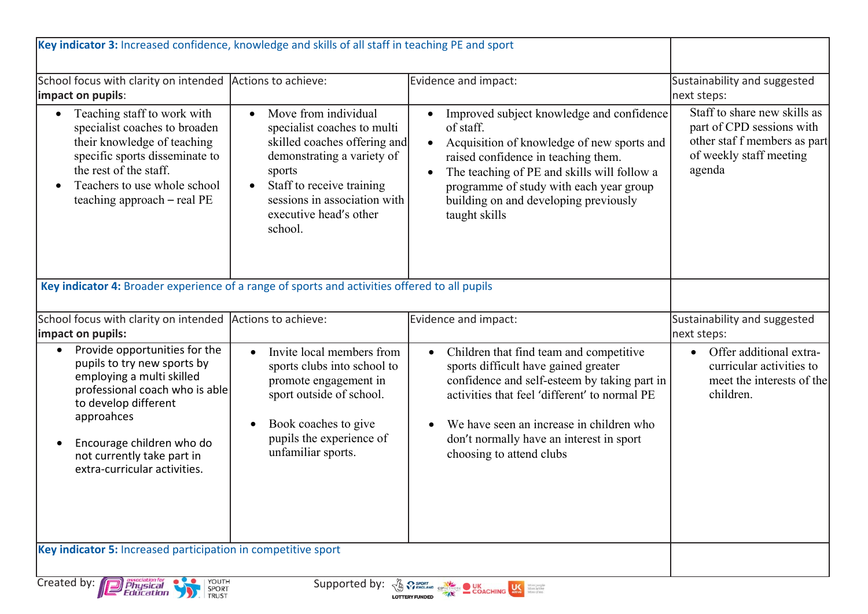| Key indicator 3: Increased confidence, knowledge and skills of all staff in teaching PE and sport                                                                                                                                                                                      |                                                                                                                                                                                                                                                         |                                                                                                                                                                                                                                                                                                                |                                                                                                                                |
|----------------------------------------------------------------------------------------------------------------------------------------------------------------------------------------------------------------------------------------------------------------------------------------|---------------------------------------------------------------------------------------------------------------------------------------------------------------------------------------------------------------------------------------------------------|----------------------------------------------------------------------------------------------------------------------------------------------------------------------------------------------------------------------------------------------------------------------------------------------------------------|--------------------------------------------------------------------------------------------------------------------------------|
| School focus with clarity on intended Actions to achieve:<br>impact on pupils:                                                                                                                                                                                                         |                                                                                                                                                                                                                                                         | Evidence and impact:                                                                                                                                                                                                                                                                                           | Sustainability and suggested<br>next steps:                                                                                    |
| Teaching staff to work with<br>$\bullet$<br>specialist coaches to broaden<br>their knowledge of teaching<br>specific sports disseminate to<br>the rest of the staff.<br>Teachers to use whole school<br>teaching approach - real PE                                                    | Move from individual<br>$\bullet$<br>specialist coaches to multi<br>skilled coaches offering and<br>demonstrating a variety of<br>sports<br>Staff to receive training<br>$\bullet$<br>sessions in association with<br>executive head's other<br>school. | Improved subject knowledge and confidence<br>of staff.<br>• Acquisition of knowledge of new sports and<br>raised confidence in teaching them.<br>The teaching of PE and skills will follow a<br>$\bullet$<br>programme of study with each year group<br>building on and developing previously<br>taught skills | Staff to share new skills as<br>part of CPD sessions with<br>other staf f members as part<br>of weekly staff meeting<br>agenda |
| Key indicator 4: Broader experience of a range of sports and activities offered to all pupils<br>School focus with clarity on intended Actions to achieve:<br>impact on pupils:                                                                                                        |                                                                                                                                                                                                                                                         | Evidence and impact:                                                                                                                                                                                                                                                                                           | Sustainability and suggested<br>next steps:                                                                                    |
| Provide opportunities for the<br>$\bullet$<br>pupils to try new sports by<br>employing a multi skilled<br>professional coach who is able<br>to develop different<br>approahces<br>Encourage children who do<br>$\bullet$<br>not currently take part in<br>extra-curricular activities. | Invite local members from<br>sports clubs into school to<br>promote engagement in<br>sport outside of school.<br>Book coaches to give<br>$\bullet$<br>pupils the experience of<br>unfamiliar sports.                                                    | Children that find team and competitive<br>sports difficult have gained greater<br>confidence and self-esteem by taking part in<br>activities that feel 'different' to normal PE<br>We have seen an increase in children who<br>don't normally have an interest in sport<br>choosing to attend clubs           | • Offer additional extra-<br>curricular activities to<br>meet the interests of the<br>children.                                |
| Key indicator 5: Increased participation in competitive sport                                                                                                                                                                                                                          |                                                                                                                                                                                                                                                         |                                                                                                                                                                                                                                                                                                                |                                                                                                                                |